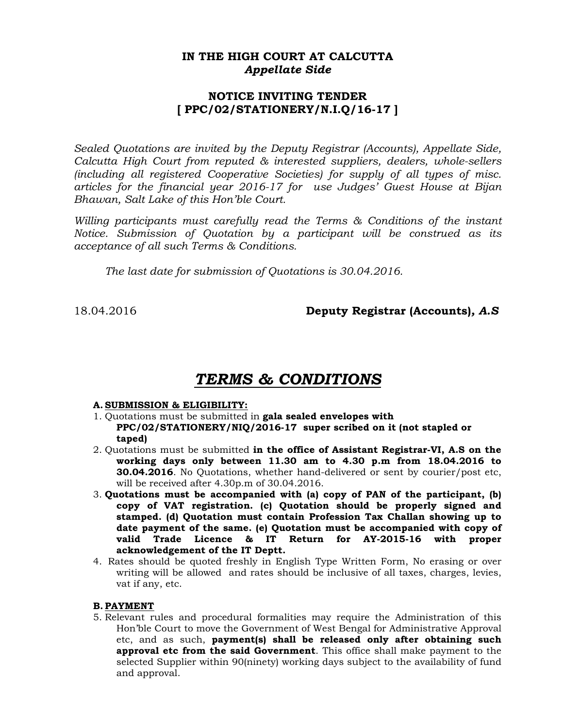### **IN THE HIGH COURT AT CALCUTTA**  *Appellate Side*

### **NOTICE INVITING TENDER [ PPC/02/STATIONERY/N.I.Q/16-17 ]**

*Sealed Quotations are invited by the Deputy Registrar (Accounts), Appellate Side, Calcutta High Court from reputed & interested suppliers, dealers, whole-sellers (including all registered Cooperative Societies) for supply of all types of misc. articles for the financial year 2016-17 for use Judges' Guest House at Bijan Bhawan, Salt Lake of this Hon'ble Court.* 

*Willing participants must carefully read the Terms & Conditions of the instant Notice. Submission of Quotation by a participant will be construed as its acceptance of all such Terms & Conditions.* 

 *The last date for submission of Quotations is 30.04.2016.* 

18.04.2016 **Deputy Registrar (Accounts)***, A.S*

# *TERMS & CONDITIONS*

### **A. SUBMISSION & ELIGIBILITY:**

- 1. Quotations must be submitted in **gala sealed envelopes with PPC/02/STATIONERY/NIQ/2016-17 super scribed on it (not stapled or taped)**
- 2. Quotations must be submitted **in the office of Assistant Registrar-VI, A.S on the working days only between 11.30 am to 4.30 p.m from 18.04.2016 to 30.04.2016**. No Quotations, whether hand-delivered or sent by courier/post etc, will be received after 4.30p.m of 30.04.2016.
- 3. **Quotations must be accompanied with (a) copy of PAN of the participant, (b) copy of VAT registration. (c) Quotation should be properly signed and stamped. (d) Quotation must contain Profession Tax Challan showing up to date payment of the same. (e) Quotation must be accompanied with copy of valid Trade Licence & IT Return for AY-2015-16 with proper acknowledgement of the IT Deptt.**
- 4. Rates should be quoted freshly in English Type Written Form, No erasing or over writing will be allowed and rates should be inclusive of all taxes, charges, levies, vat if any, etc.

### **B. PAYMENT**

5. Relevant rules and procedural formalities may require the Administration of this Hon'ble Court to move the Government of West Bengal for Administrative Approval etc, and as such, **payment(s) shall be released only after obtaining such approval etc from the said Government**. This office shall make payment to the selected Supplier within 90(ninety) working days subject to the availability of fund and approval.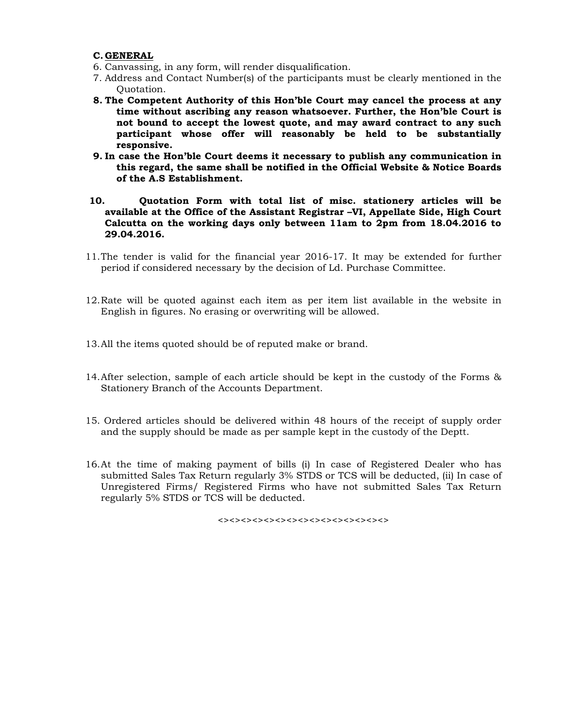### **C.GENERAL**

- 6. Canvassing, in any form, will render disqualification.
- 7. Address and Contact Number(s) of the participants must be clearly mentioned in the Quotation.
- **8. The Competent Authority of this Hon'ble Court may cancel the process at any time without ascribing any reason whatsoever. Further, the Hon'ble Court is not bound to accept the lowest quote, and may award contract to any such participant whose offer will reasonably be held to be substantially responsive.**
- **9. In case the Hon'ble Court deems it necessary to publish any communication in this regard, the same shall be notified in the Official Website & Notice Boards of the A.S Establishment.**
- **10. Quotation Form with total list of misc. stationery articles will be available at the Office of the Assistant Registrar –VI, Appellate Side, High Court Calcutta on the working days only between 11am to 2pm from 18.04.2016 to 29.04.2016.**
- 11.The tender is valid for the financial year 2016-17. It may be extended for further period if considered necessary by the decision of Ld. Purchase Committee.
- 12.Rate will be quoted against each item as per item list available in the website in English in figures. No erasing or overwriting will be allowed.
- 13.All the items quoted should be of reputed make or brand.
- 14.After selection, sample of each article should be kept in the custody of the Forms & Stationery Branch of the Accounts Department.
- 15. Ordered articles should be delivered within 48 hours of the receipt of supply order and the supply should be made as per sample kept in the custody of the Deptt.
- 16.At the time of making payment of bills (i) In case of Registered Dealer who has submitted Sales Tax Return regularly 3% STDS or TCS will be deducted, (ii) In case of Unregistered Firms/ Registered Firms who have not submitted Sales Tax Return regularly 5% STDS or TCS will be deducted.

 $\leftrightarrow$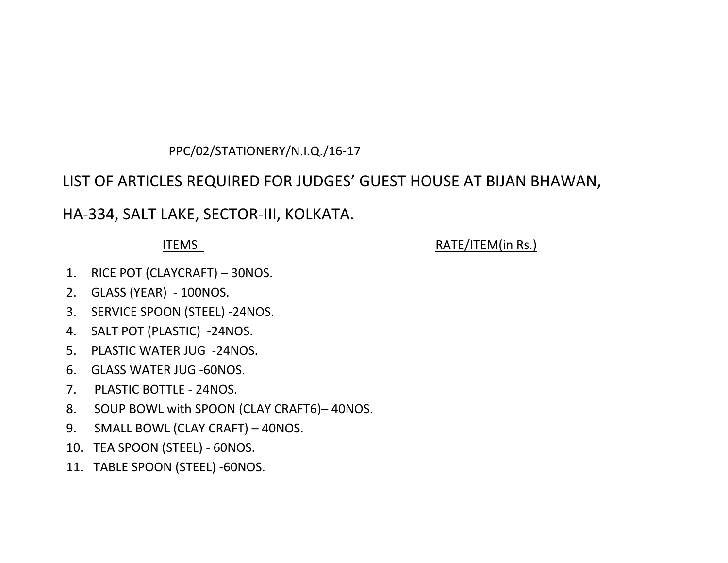# PPC/02/STATIONERY/N.I.Q./16‐17

# LIST OF ARTICLES REQUIRED FOR JUDGES' GUEST HOUSE AT BIJAN BHAWAN,

HA‐334, SALT LAKE, SECTOR‐III, KOLKATA.

# ITEMS

RATE/ITEM(in Rs.)

- 1. RICE POT (CLAYCRAFT) 30NOS.
- 2. GLASS (YEAR) ‐ 100NOS.
- 3. SERVICE SPOON (STEEL) ‐24NOS.
- 4. SALT POT (PLASTIC) ‐24NOS.
- 5. PLASTIC WATER JUG ‐24NOS.
- 6. GLASS WATER JUG ‐60NOS.
- 7. PLASTIC BOTTLE ‐ 24NOS.
- 8. SOUP BOWL with SPOON (CLAY CRAFT6)– 40NOS.
- 9. SMALL BOWL (CLAY CRAFT) 40NOS.
- 10. TEA SPOON (STEEL) ‐ 60NOS.
- 11. TABLE SPOON (STEEL) ‐60NOS.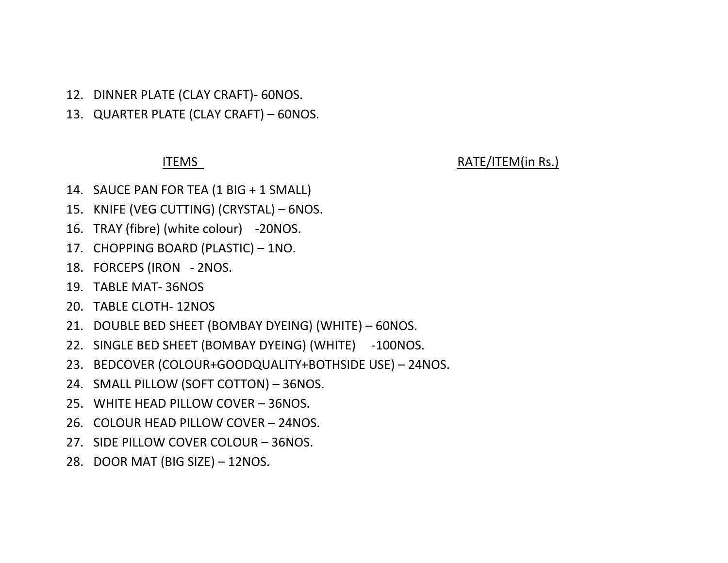- 12. DINNER PLATE (CLAY CRAFT)‐ 60NOS.
- 13. QUARTER PLATE (CLAY CRAFT) 60NOS.

## ITEMS

## RATE/ITEM(in Rs.)

- 14. SAUCE PAN FOR TEA (1 BIG <sup>+</sup> 1 SMALL)
- 15. KNIFE (VEG CUTTING) (CRYSTAL) 6NOS.
- 16. TRAY (fibre) (white colour) ‐20NOS.
- 17. CHOPPING BOARD (PLASTIC) 1NO.
- 18. FORCEPS (IRON ‐ 2NOS.
- 19. TABLE MAT‐ 36NOS
- 20. TABLE CLOTH‐ 12NOS
- 21. DOUBLE BED SHEET (BOMBAY DYEING) (WHITE) 60NOS.
- 22. SINGLE BED SHEET (BOMBAY DYEING) (WHITE) ‐100NOS.
- 23. BEDCOVER (COLOUR+GOODQUALITY+BOTHSIDE USE) 24NOS.
- 24. SMALL PILLOW (SOFT COTTON) 36NOS.
- 25. WHITE HEAD PILLOW COVER 36NOS.
- 26. COLOUR HEAD PILLOW COVER 24NOS.
- 27. SIDE PILLOW COVER COLOUR 36NOS.
- 28. DOOR MAT (BIG SIZE) 12NOS.